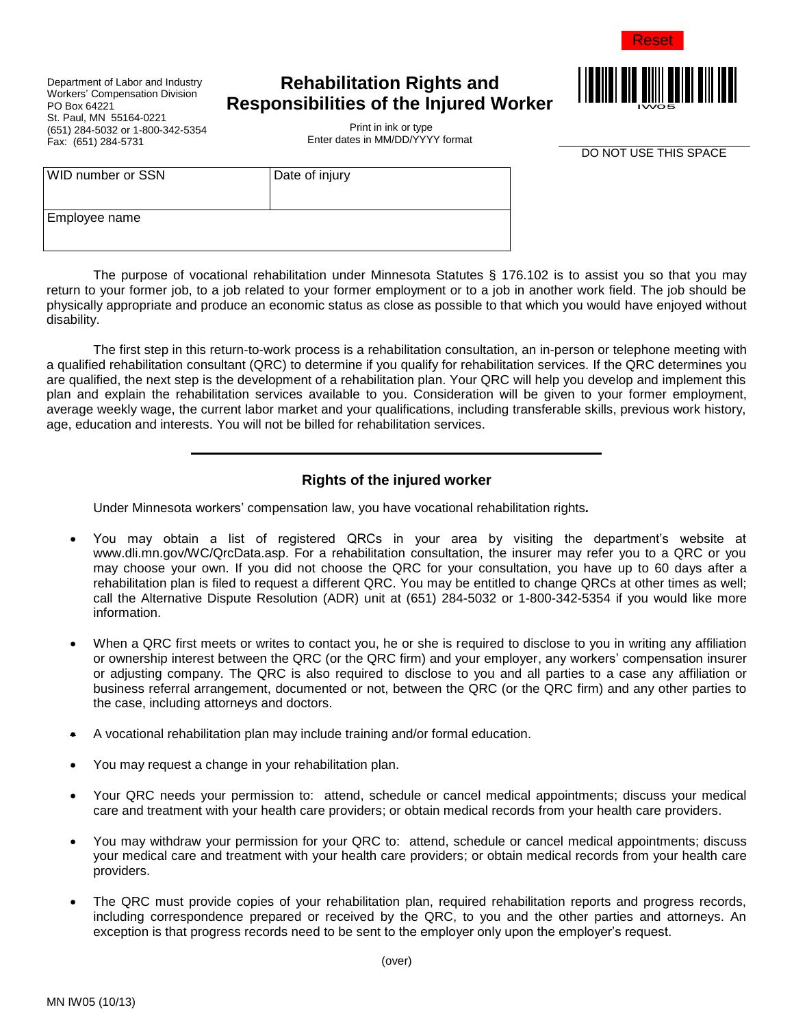

Department of Labor and Industry Workers' Compensation Division PO Box 64221 St. Paul, MN 55164-0221 (651) 284-5032 or 1-800-342-5354 Fax: (651) 284-5731

WID number or SSN Date of injury

# **Rehabilitation Rights and Responsibilities of the Injured Worker**



Print in ink or type Enter dates in MM/DD/YYYY format

DO NOT USE THIS SPACE

Employee name

The purpose of vocational rehabilitation under Minnesota Statutes § 176.102 is to assist you so that you may return to your former job, to a job related to your former employment or to a job in another work field. The job should be physically appropriate and produce an economic status as close as possible to that which you would have enjoyed without disability.

The first step in this return-to-work process is a rehabilitation consultation, an in-person or telephone meeting with a qualified rehabilitation consultant (QRC) to determine if you qualify for rehabilitation services. If the QRC determines you are qualified, the next step is the development of a rehabilitation plan. Your QRC will help you develop and implement this plan and explain the rehabilitation services available to you. Consideration will be given to your former employment, average weekly wage, the current labor market and your qualifications, including transferable skills, previous work history, age, education and interests. You will not be billed for rehabilitation services.

## **Rights of the injured worker**

Under Minnesota workers' compensation law, you have vocational rehabilitation rights*.* 

- You may obtain a list of registered QRCs in your area by visiting the department's website at www.dli.mn.gov/WC/QrcData.asp. For a rehabilitation consultation, the insurer may refer you to a QRC or you may choose your own. If you did not choose the QRC for your consultation, you have up to 60 days after a rehabilitation plan is filed to request a different QRC. You may be entitled to change QRCs at other times as well; call the Alternative Dispute Resolution (ADR) unit at (651) 284-5032 or 1-800-342-5354 if you would like more information.
- When a QRC first meets or writes to contact you, he or she is required to disclose to you in writing any affiliation or ownership interest between the QRC (or the QRC firm) and your employer, any workers' compensation insurer or adjusting company. The QRC is also required to disclose to you and all parties to a case any affiliation or business referral arrangement, documented or not, between the QRC (or the QRC firm) and any other parties to the case, including attorneys and doctors.
- A vocational rehabilitation plan may include training and/or formal education.
- You may request a change in your rehabilitation plan.
- Your QRC needs your permission to: attend, schedule or cancel medical appointments; discuss your medical care and treatment with your health care providers; or obtain medical records from your health care providers.
- You may withdraw your permission for your QRC to: attend, schedule or cancel medical appointments; discuss your medical care and treatment with your health care providers; or obtain medical records from your health care providers.
- The QRC must provide copies of your rehabilitation plan, required rehabilitation reports and progress records, including correspondence prepared or received by the QRC, to you and the other parties and attorneys. An exception is that progress records need to be sent to the employer only upon the employer's request.